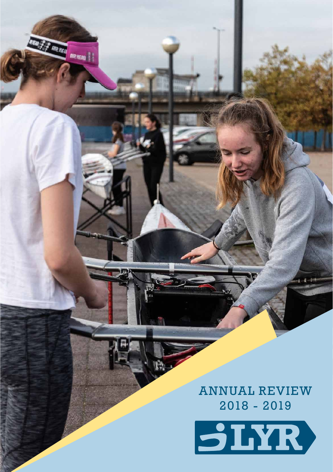ANNUAL REVIEW 2018 - 2019

**R HEA** 

Alexan | |

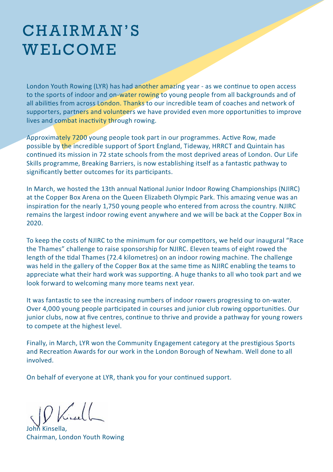## CH A IR M A N'S WELCOME

London Youth Rowing (LYR) has had another amazing year - as we continue to open access to the sports of indoor and on-water rowing to young people from all backgrounds and of all abilities from across London. Thanks to our incredible team of coaches and network of supporters, partners and volunteers we have provided even more opportunities to improve lives and combat inactivity through rowing.

Approximately 7200 young people took part in our programmes. Active Row, made possible by the incredible support of Sport England, Tideway, HRRCT and Quintain has continued its mission in 72 state schools from the most deprived areas of London. Our Life Skills programme, Breaking Barriers, is now establishing itself as a fantastic pathway to significantly better outcomes for its participants.

In March, we hosted the 13th annual National Junior Indoor Rowing Championships (NJIRC) at the Copper Box Arena on the Queen Elizabeth Olympic Park. This amazing venue was an inspiration for the nearly 1,750 young people who entered from across the country. NJIRC remains the largest indoor rowing event anywhere and we will be back at the Copper Box in 2020.

To keep the costs of NJIRC to the minimum for our competitors, we held our inaugural "Race the Thames" challenge to raise sponsorship for NJIRC. Eleven teams of eight rowed the length of the tidal Thames (72.4 kilometres) on an indoor rowing machine. The challenge was held in the gallery of the Copper Box at the same time as NJIRC enabling the teams to appreciate what their hard work was supporting. A huge thanks to all who took part and we look forward to welcoming many more teams next year.

It was fantastic to see the increasing numbers of indoor rowers progressing to on-water. Over 4,000 young people participated in courses and junior club rowing opportunities. Our junior clubs, now at five centres, continue to thrive and provide a pathway for young rowers to compete at the highest level.

Finally, in March, LYR won the Community Engagement category at the prestigious Sports and Recreation Awards for our work in the London Borough of Newham. Well done to all involved.

On behalf of everyone at LYR, thank you for your continued support.

 $1/|1|$ 

John Kinsella, Chairman, London Youth Rowing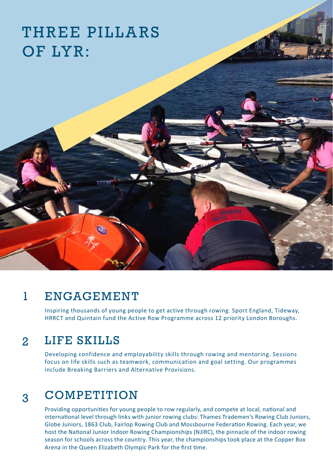### THREE PILLARS OF LYR:

#### 1 **ENGAGEMENT**

Inspiring thousands of young people to get active through rowing. Sport England, Tideway, HRRCT and Quintain fund the Active Row Programme across 12 priority London Boroughs.

#### 2 LIFE SKILLS

Developing confidence and employability skills through rowing and mentoring. Sessions focus on life skills such as teamwork, communication and goal setting. Our programmes include Breaking Barriers and Alternative Provisions.

#### 3 **COMPETITION**

Providing opportunities for young people to row regularly, and compete at local, national and international level through links with junior rowing clubs: Thames Trademen's Rowing Club Juniors, Globe Juniors, 1863 Club, Fairlop Rowing Club and Mossbourne Federation Rowing. Each year, we host the National Junior Indoor Rowing Championships (NJIRC), the pinnacle of the indoor rowing season for schools across the country. This year, the championships took place at the Copper Box Arena in the Queen Elizabeth Olympic Park for the first time.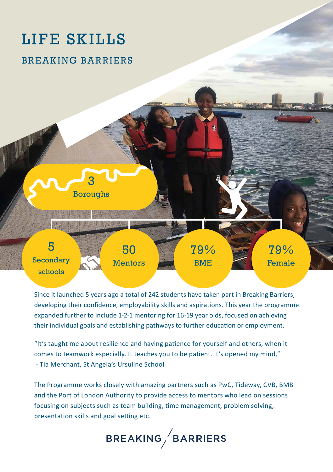# LIFE SKILLS

### BREAKING BARRIERS



Since it launched 5 years ago a total of 242 students have taken part in Breaking Barriers, developing their confidence, employability skills and aspirations. This year the programme expanded further to include 1-2-1 mentoring for 16-19 year olds, focused on achieving their individual goals and establishing pathways to further education or employment.

"It's taught me about resilience and having patience for yourself and others, when it comes to teamwork especially. It teaches you to be patient. It's opened my mind," - Tia Merchant, St Angela's Ursuline School

The Programme works closely with amazing partners such as PwC, Tideway, CVB, BMB and the Port of London Authority to provide access to mentors who lead on sessions focusing on subjects such as team building, time management, problem solving, presentation skills and goal setting etc.

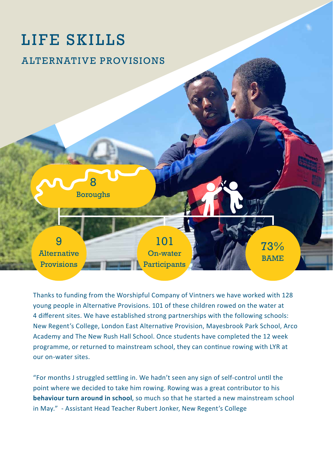# LIFE SKILLS

### ALTERNATIVE PROVISIONS



Thanks to funding from the Worshipful Company of Vintners we have worked with 128 young people in Alternative Provisions. 101 of these children rowed on the water at 4 different sites. We have established strong partnerships with the following schools: New Regent's College, London East Alternative Provision, Mayesbrook Park School, Arco Academy and The New Rush Hall School. Once students have completed the 12 week programme, or returned to mainstream school, they can continue rowing with LYR at our on-water sites.

"For months J struggled settling in. We hadn't seen any sign of self-control until the point where we decided to take him rowing. Rowing was a great contributor to his **behaviour turn around in school**, so much so that he started a new mainstream school in May." - Assistant Head Teacher Rubert Jonker, New Regent's College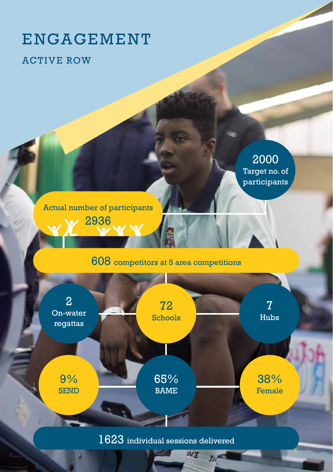# ENGAGEMENT

### ACTIVE ROW

2000 Target no. of participants

Actual number of participants 2936

### 608 competitors at 5 area competitions



 $72$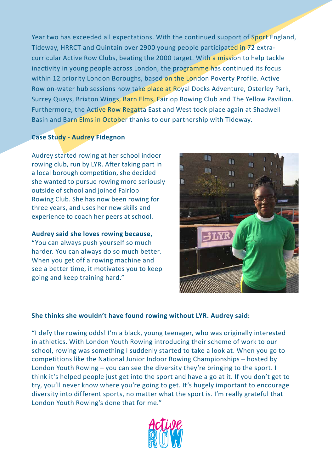Year two has exceeded all expectations. With the continued support of Sport England, Tideway, HRRCT and Quintain over 2900 young people participated in 72 extracurricular Active Row Clubs, beating the 2000 target. With a mission to help tackle inactivity in young people across London, the programme has continued its focus within 12 priority London Boroughs, based on the London Poverty Profile. Active Row on-water hub sessions now take place at Royal Docks Adventure, Osterley Park, Surrey Quays, Brixton Wings, Barn Elms, Fairlop Rowing Club and The Yellow Pavilion. Furthermore, the Active Row Regatta East and West took place again at Shadwell Basin and Barn Elms in October thanks to our partnership with Tideway.

#### **Case Study - Audrey Fidegnon**

Audrey started rowing at her school indoor rowing club, run by LYR. After taking part in a local borough competition, she decided she wanted to pursue rowing more seriously outside of school and joined Fairlop Rowing Club. She has now been rowing for three years, and uses her new skills and experience to coach her peers at school.

**Audrey said she loves rowing because,**  "You can always push yourself so much harder. You can always do so much better. When you get off a rowing machine and see a better time, it motivates you to keep going and keep training hard."



#### **She thinks she wouldn't have found rowing without LYR. Audrey said:**

"I defy the rowing odds! I'm a black, young teenager, who was originally interested in athletics. With London Youth Rowing introducing their scheme of work to our school, rowing was something I suddenly started to take a look at. When you go to competitions like the National Junior Indoor Rowing Championships – hosted by London Youth Rowing – you can see the diversity they're bringing to the sport. I think it's helped people just get into the sport and have a go at it. If you don't get to try, you'll never know where you're going to get. It's hugely important to encourage diversity into different sports, no matter what the sport is. I'm really grateful that London Youth Rowing's done that for me."

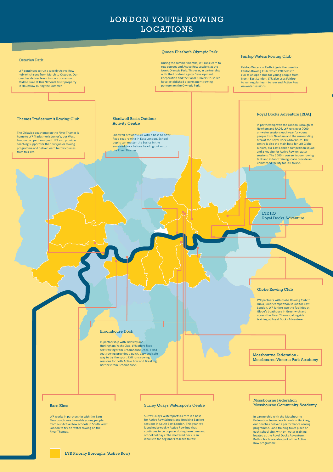LYR continues to run a weekly Active Row hub which runs from March to October. Our coaches deliver learn to row courses on Middle Lake at this National Trust property in Hounslow during the Summer.

The Chiswick boathouse on the River Thames is home to LYR Tradesmen's Junior's, our West London competition squad. LYR also provides coaching support for the 1863 junior rowing programme and deliver learn to row courses from this site.

### During the summer months, LYR runs learn to

row courses and Active Row sessions at the iconic Olympic Park. This year, in partnership with the London Legacy Development Corporation and the Canal & Rivers Trust, we have established a permanent rowing pontoon on the Olympic Park.

#### Fairlop Waters Rowing Club

### Royal Docks Adventure [RDA]

Queen Elizabeth Olympic Park

Shadwell provides LYR with a base to offer fixed seat rowing in East London. School pupils can master the basics in the enclosed dock before heading out onto the River Thames.

#### Shadwell Basin Outdoor Activity Centre

#### Thames Tradesmen's Rowing Club

### Osterley Park

Fairlop Waters in Redbridge is the base for Fairlop Rowing Club, which LYR helps to run as an open club for young people from North East London. LYR also uses Fairlop to run regular learn to row and Active Row on-water sessions.

In partnership with Tideway and Hurlingham Yacht Club, LYR offers fixed seat rowing from Broomhouse Dock. Fixed seat rowing provides a quick, easy and safe In partnership with the London Borough of Newham and RADT, LYR runs over 7000 on-water sessions each year for young people from Newham and the surrounding area at the Royal Docks Adventure. The centre is also the main base for LYR Globe Juniors, our East London competition squad and a key site for Active Row on-water sessions. The 2000m course, indoor rowing tank and indoor training space provide an unmatched facility for LYR to use.

# LONDON YOUTH ROWING LOCATIONS

#### Globe Rowing Club

Mossbourne Federation Mossbourne Community Academy

Mossbourne Victoria Park Academy

LYR partners with Globe Rowing Club to run a junior competition squad for East London. LYR juniors use the facilities at Globe's boathouse in Greenwich and access the River Thames, alongside training at Royal Docks Adventure.

In partnership with the Mossbourne Federation Secondary Schools in Hackney, our Coaches deliver a performance rowing programme. Land training takes place on each school site, with on-water training located at the Royal Docks Adventure. Both schools are also part of the Active Row programme.

#### Barn Elms

LYR Priority Boroughs (Active Row)

LYR works in partnership with the Barn Elms boathouse to enable young people from our Active Row schools in South West London to try on-water rowing on the River Thames.

#### Broomhouse Dock

way to try the sport. LYR runs rowing sessions for both Active Row and Breaking Barriers from Broomhouse.

#### Surrey Quays Watersports Centre

Surrey Quays Watersports Centre is a base for Active Row Schools and Breaking Barriers sessions in South East London. This year, we launched a weekly Active Row hub that continues to be popular during term time and school holidays. The sheltered dock is an ideal site for beginners to learn to row.

LYR HQ Royal Docks Adventure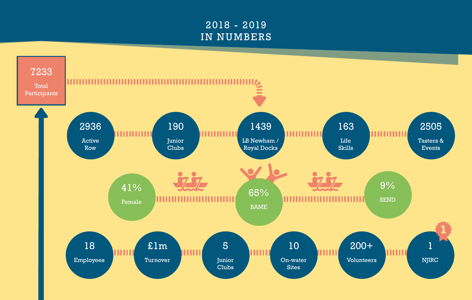# 2018 - 2019 IN NUMBERS

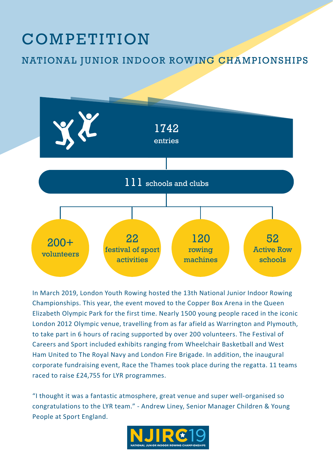# COMPETITION

NATIONAL JUNIOR INDOOR ROWING CHAMPIONSHIPS



In March 2019, London Youth Rowing hosted the 13th National Junior Indoor Rowing Championships. This year, the event moved to the Copper Box Arena in the Queen Elizabeth Olympic Park for the first time. Nearly 1500 young people raced in the iconic London 2012 Olympic venue, travelling from as far afield as Warrington and Plymouth, to take part in 6 hours of racing supported by over 200 volunteers. The Festival of Careers and Sport included exhibits ranging from Wheelchair Basketball and West Ham United to The Royal Navy and London Fire Brigade. In addition, the inaugural corporate fundraising event, Race the Thames took place during the regatta. 11 teams raced to raise £24,755 for LYR programmes.

"I thought it was a fantastic atmosphere, great venue and super well-organised so congratulations to the LYR team." - Andrew Liney, Senior Manager Children & Young People at Sport England.

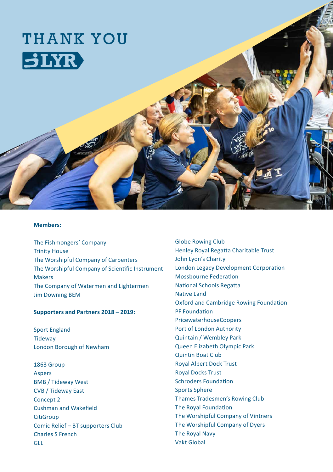

#### **Members:**

The Fishmongers' Company Trinity House The Worshipful Company of Carpenters The Worshipful Company of Scientific Instrument Makers The Company of Watermen and Lightermen Jim Downing BEM

#### **Supporters and Partners 2018 – 2019:**

Sport England **Tideway** London Borough of Newham

1863 Group **Aspers** BMB / Tideway West CVB / Tideway East Concept<sub>2</sub> Cushman and Wakefield **CitiGroup** Comic Relief – BT supporters Club Charles S French GLL

Globe Rowing Club Henley Royal Regatta Charitable Trust John Lyon's Charity London Legacy Development Corporation Mossbourne Federation National Schools Regatta Native Land Oxford and Cambridge Rowing Foundation PF Foundation PricewaterhouseCoopers Port of London Authority Quintain / Wembley Park Queen Elizabeth Olympic Park Quintin Boat Club Royal Albert Dock Trust Royal Docks Trust Schroders Foundation Sports Sphere Thames Tradesmen's Rowing Club The Royal Foundation The Worshipful Company of Vintners The Worshipful Company of Dyers The Royal Navy Vakt Global